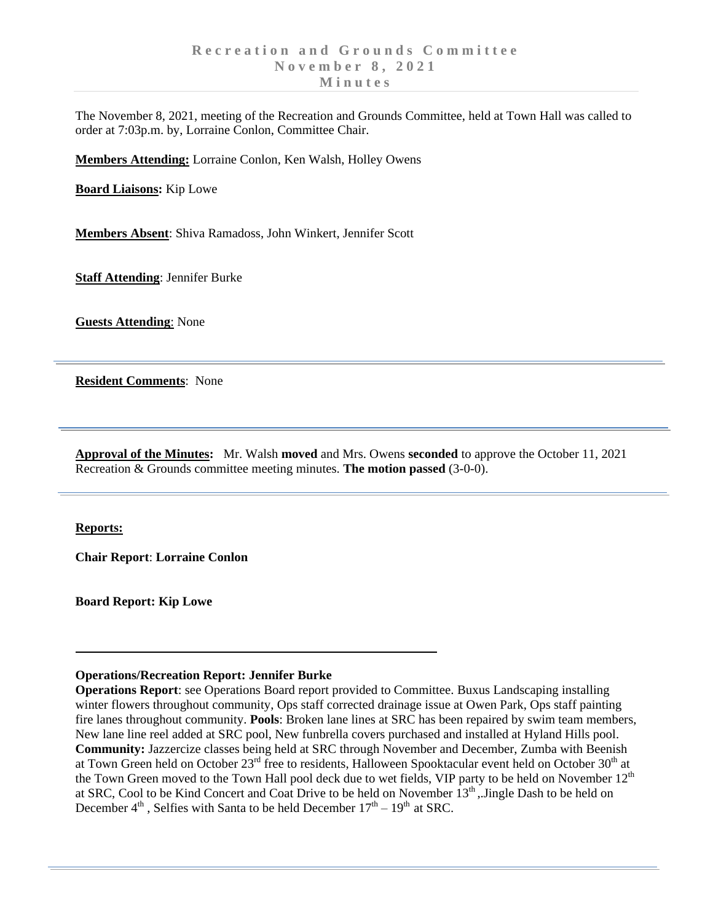The November 8, 2021, meeting of the Recreation and Grounds Committee, held at Town Hall was called to order at 7:03p.m. by, Lorraine Conlon, Committee Chair.

**Members Attending:** Lorraine Conlon, Ken Walsh, Holley Owens

**Board Liaisons:** Kip Lowe

**Members Absent**: Shiva Ramadoss, John Winkert, Jennifer Scott

**Staff Attending**: Jennifer Burke

**Guests Attending**: None

**Resident Comments**: None

**Approval of the Minutes:** Mr. Walsh **moved** and Mrs. Owens **seconded** to approve the October 11, 2021 Recreation & Grounds committee meeting minutes. **The motion passed** (3-0-0).

**Reports:** 

**Chair Report**: **Lorraine Conlon**

**Board Report: Kip Lowe**

## **Operations/Recreation Report: Jennifer Burke**

**Operations Report**: see Operations Board report provided to Committee. Buxus Landscaping installing winter flowers throughout community, Ops staff corrected drainage issue at Owen Park, Ops staff painting fire lanes throughout community. **Pools**: Broken lane lines at SRC has been repaired by swim team members, New lane line reel added at SRC pool, New funbrella covers purchased and installed at Hyland Hills pool. **Community:** Jazzercize classes being held at SRC through November and December, Zumba with Beenish at Town Green held on October 23<sup>rd</sup> free to residents, Halloween Spooktacular event held on October 30<sup>th</sup> at the Town Green moved to the Town Hall pool deck due to wet fields, VIP party to be held on November  $12<sup>th</sup>$ at SRC, Cool to be Kind Concert and Coat Drive to be held on November 13<sup>th</sup>, Jingle Dash to be held on December  $4^{\text{th}}$ , Selfies with Santa to be held December  $17^{\text{th}} - 19^{\text{th}}$  at SRC.